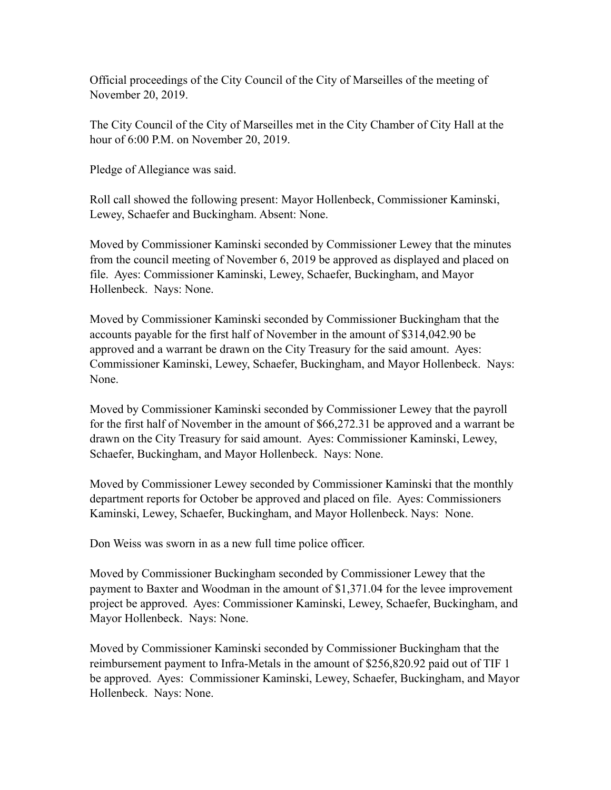Official proceedings of the City Council of the City of Marseilles of the meeting of November 20, 2019.

The City Council of the City of Marseilles met in the City Chamber of City Hall at the hour of 6:00 P.M. on November 20, 2019.

Pledge of Allegiance was said.

Roll call showed the following present: Mayor Hollenbeck, Commissioner Kaminski, Lewey, Schaefer and Buckingham. Absent: None.

Moved by Commissioner Kaminski seconded by Commissioner Lewey that the minutes from the council meeting of November 6, 2019 be approved as displayed and placed on file. Ayes: Commissioner Kaminski, Lewey, Schaefer, Buckingham, and Mayor Hollenbeck. Nays: None.

Moved by Commissioner Kaminski seconded by Commissioner Buckingham that the accounts payable for the first half of November in the amount of \$314,042.90 be approved and a warrant be drawn on the City Treasury for the said amount. Ayes: Commissioner Kaminski, Lewey, Schaefer, Buckingham, and Mayor Hollenbeck. Nays: None.

Moved by Commissioner Kaminski seconded by Commissioner Lewey that the payroll for the first half of November in the amount of \$66,272.31 be approved and a warrant be drawn on the City Treasury for said amount. Ayes: Commissioner Kaminski, Lewey, Schaefer, Buckingham, and Mayor Hollenbeck. Nays: None.

Moved by Commissioner Lewey seconded by Commissioner Kaminski that the monthly department reports for October be approved and placed on file. Ayes: Commissioners Kaminski, Lewey, Schaefer, Buckingham, and Mayor Hollenbeck. Nays: None.

Don Weiss was sworn in as a new full time police officer.

Moved by Commissioner Buckingham seconded by Commissioner Lewey that the payment to Baxter and Woodman in the amount of \$1,371.04 for the levee improvement project be approved. Ayes: Commissioner Kaminski, Lewey, Schaefer, Buckingham, and Mayor Hollenbeck. Nays: None.

Moved by Commissioner Kaminski seconded by Commissioner Buckingham that the reimbursement payment to Infra-Metals in the amount of \$256,820.92 paid out of TIF 1 be approved. Ayes: Commissioner Kaminski, Lewey, Schaefer, Buckingham, and Mayor Hollenbeck. Nays: None.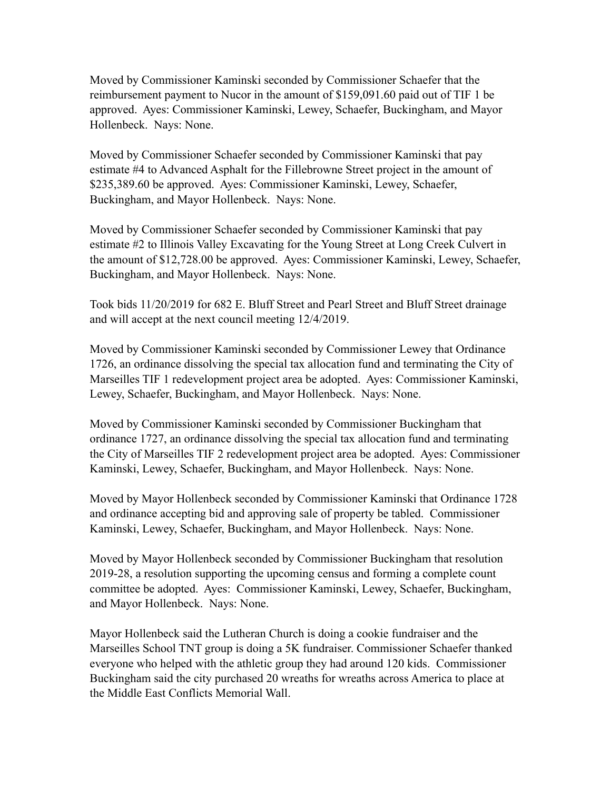Moved by Commissioner Kaminski seconded by Commissioner Schaefer that the reimbursement payment to Nucor in the amount of \$159,091.60 paid out of TIF 1 be approved. Ayes: Commissioner Kaminski, Lewey, Schaefer, Buckingham, and Mayor Hollenbeck. Nays: None.

Moved by Commissioner Schaefer seconded by Commissioner Kaminski that pay estimate #4 to Advanced Asphalt for the Fillebrowne Street project in the amount of \$235,389.60 be approved. Ayes: Commissioner Kaminski, Lewey, Schaefer, Buckingham, and Mayor Hollenbeck. Nays: None.

Moved by Commissioner Schaefer seconded by Commissioner Kaminski that pay estimate #2 to Illinois Valley Excavating for the Young Street at Long Creek Culvert in the amount of \$12,728.00 be approved. Ayes: Commissioner Kaminski, Lewey, Schaefer, Buckingham, and Mayor Hollenbeck. Nays: None.

Took bids 11/20/2019 for 682 E. Bluff Street and Pearl Street and Bluff Street drainage and will accept at the next council meeting 12/4/2019.

Moved by Commissioner Kaminski seconded by Commissioner Lewey that Ordinance 1726, an ordinance dissolving the special tax allocation fund and terminating the City of Marseilles TIF 1 redevelopment project area be adopted. Ayes: Commissioner Kaminski, Lewey, Schaefer, Buckingham, and Mayor Hollenbeck. Nays: None.

Moved by Commissioner Kaminski seconded by Commissioner Buckingham that ordinance 1727, an ordinance dissolving the special tax allocation fund and terminating the City of Marseilles TIF 2 redevelopment project area be adopted. Ayes: Commissioner Kaminski, Lewey, Schaefer, Buckingham, and Mayor Hollenbeck. Nays: None.

Moved by Mayor Hollenbeck seconded by Commissioner Kaminski that Ordinance 1728 and ordinance accepting bid and approving sale of property be tabled. Commissioner Kaminski, Lewey, Schaefer, Buckingham, and Mayor Hollenbeck. Nays: None.

Moved by Mayor Hollenbeck seconded by Commissioner Buckingham that resolution 2019-28, a resolution supporting the upcoming census and forming a complete count committee be adopted. Ayes: Commissioner Kaminski, Lewey, Schaefer, Buckingham, and Mayor Hollenbeck. Nays: None.

Mayor Hollenbeck said the Lutheran Church is doing a cookie fundraiser and the Marseilles School TNT group is doing a 5K fundraiser. Commissioner Schaefer thanked everyone who helped with the athletic group they had around 120 kids. Commissioner Buckingham said the city purchased 20 wreaths for wreaths across America to place at the Middle East Conflicts Memorial Wall.